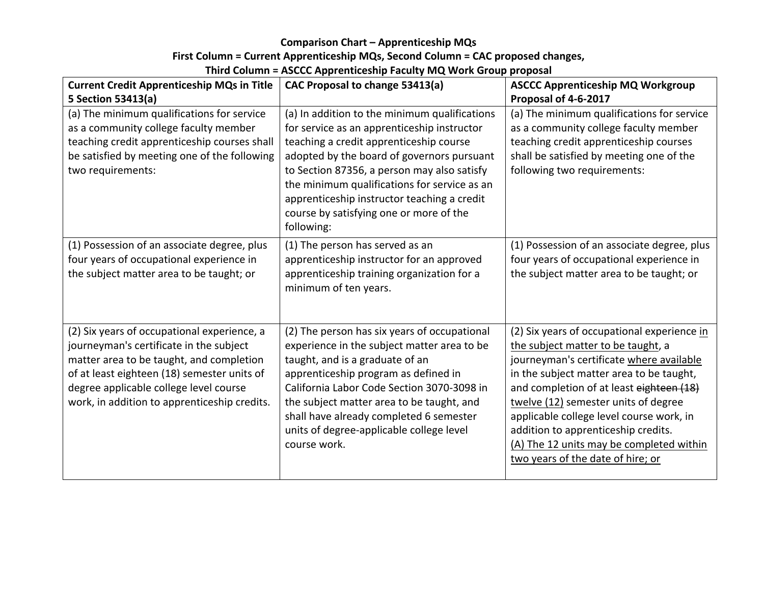### **Comparison Chart - Apprenticeship MQs**

# First Column = Current Apprenticeship MQs, Second Column = CAC proposed changes,

# **Third Column = ASCCC Apprenticeship Faculty MQ Work Group proposal**

| <b>Current Credit Apprenticeship MQs in Title</b>                                                                                                                                                                                                                           | CAC Proposal to change 53413(a)                                                                                                                                                                                                                                                                                                                                                              | <b>ASCCC Apprenticeship MQ Workgroup</b>                                                                                                                                                                                                                                                                                                                                                                                          |
|-----------------------------------------------------------------------------------------------------------------------------------------------------------------------------------------------------------------------------------------------------------------------------|----------------------------------------------------------------------------------------------------------------------------------------------------------------------------------------------------------------------------------------------------------------------------------------------------------------------------------------------------------------------------------------------|-----------------------------------------------------------------------------------------------------------------------------------------------------------------------------------------------------------------------------------------------------------------------------------------------------------------------------------------------------------------------------------------------------------------------------------|
| 5 Section 53413(a)                                                                                                                                                                                                                                                          |                                                                                                                                                                                                                                                                                                                                                                                              | Proposal of 4-6-2017                                                                                                                                                                                                                                                                                                                                                                                                              |
| (a) The minimum qualifications for service<br>as a community college faculty member<br>teaching credit apprenticeship courses shall<br>be satisfied by meeting one of the following<br>two requirements:                                                                    | (a) In addition to the minimum qualifications<br>for service as an apprenticeship instructor<br>teaching a credit apprenticeship course<br>adopted by the board of governors pursuant<br>to Section 87356, a person may also satisfy<br>the minimum qualifications for service as an<br>apprenticeship instructor teaching a credit<br>course by satisfying one or more of the<br>following: | (a) The minimum qualifications for service<br>as a community college faculty member<br>teaching credit apprenticeship courses<br>shall be satisfied by meeting one of the<br>following two requirements:                                                                                                                                                                                                                          |
| (1) Possession of an associate degree, plus<br>four years of occupational experience in<br>the subject matter area to be taught; or                                                                                                                                         | (1) The person has served as an<br>apprenticeship instructor for an approved<br>apprenticeship training organization for a<br>minimum of ten years.                                                                                                                                                                                                                                          | (1) Possession of an associate degree, plus<br>four years of occupational experience in<br>the subject matter area to be taught; or                                                                                                                                                                                                                                                                                               |
| (2) Six years of occupational experience, a<br>journeyman's certificate in the subject<br>matter area to be taught, and completion<br>of at least eighteen (18) semester units of<br>degree applicable college level course<br>work, in addition to apprenticeship credits. | (2) The person has six years of occupational<br>experience in the subject matter area to be<br>taught, and is a graduate of an<br>apprenticeship program as defined in<br>California Labor Code Section 3070-3098 in<br>the subject matter area to be taught, and<br>shall have already completed 6 semester<br>units of degree-applicable college level<br>course work.                     | (2) Six years of occupational experience in<br>the subject matter to be taught, a<br>journeyman's certificate where available<br>in the subject matter area to be taught,<br>and completion of at least eighteen (18)<br>twelve (12) semester units of degree<br>applicable college level course work, in<br>addition to apprenticeship credits.<br>(A) The 12 units may be completed within<br>two years of the date of hire; or |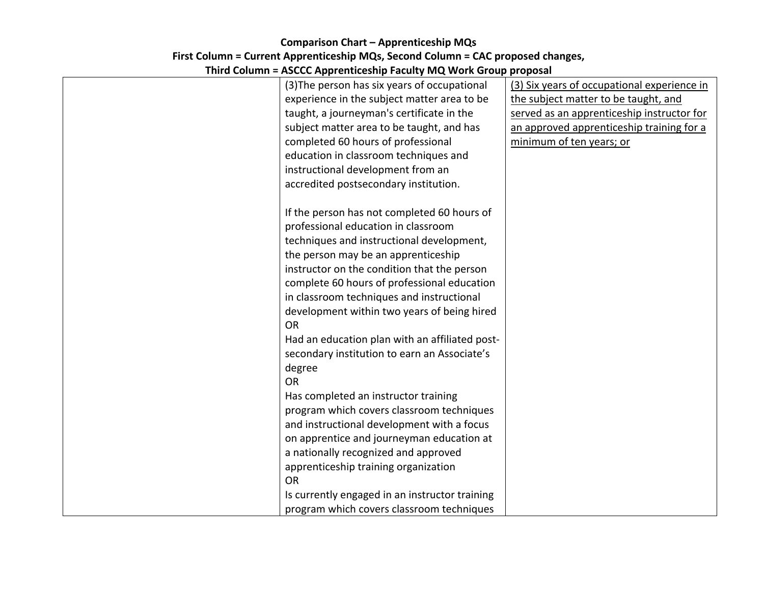### **Comparison Chart - Apprenticeship MQs** First Column = Current Apprenticeship MQs, Second Column = CAC proposed changes, **Third Column = ASCCC Apprenticeship Faculty MO Work Group proposal**

| Third Column – ASCCC Applement Comp Taculty MC WOLK Group proposal |                                             |
|--------------------------------------------------------------------|---------------------------------------------|
| (3) The person has six years of occupational                       | (3) Six years of occupational experience in |
| experience in the subject matter area to be                        | the subject matter to be taught, and        |
| taught, a journeyman's certificate in the                          | served as an apprenticeship instructor for  |
| subject matter area to be taught, and has                          | an approved apprenticeship training for a   |
| completed 60 hours of professional                                 | minimum of ten years; or                    |
| education in classroom techniques and                              |                                             |
| instructional development from an                                  |                                             |
| accredited postsecondary institution.                              |                                             |
|                                                                    |                                             |
| If the person has not completed 60 hours of                        |                                             |
| professional education in classroom                                |                                             |
| techniques and instructional development,                          |                                             |
| the person may be an apprenticeship                                |                                             |
| instructor on the condition that the person                        |                                             |
| complete 60 hours of professional education                        |                                             |
| in classroom techniques and instructional                          |                                             |
| development within two years of being hired                        |                                             |
| <b>OR</b>                                                          |                                             |
| Had an education plan with an affiliated post-                     |                                             |
| secondary institution to earn an Associate's                       |                                             |
| degree                                                             |                                             |
| <b>OR</b>                                                          |                                             |
| Has completed an instructor training                               |                                             |
| program which covers classroom techniques                          |                                             |
| and instructional development with a focus                         |                                             |
| on apprentice and journeyman education at                          |                                             |
| a nationally recognized and approved                               |                                             |
| apprenticeship training organization                               |                                             |
| <b>OR</b>                                                          |                                             |
| Is currently engaged in an instructor training                     |                                             |
| program which covers classroom techniques                          |                                             |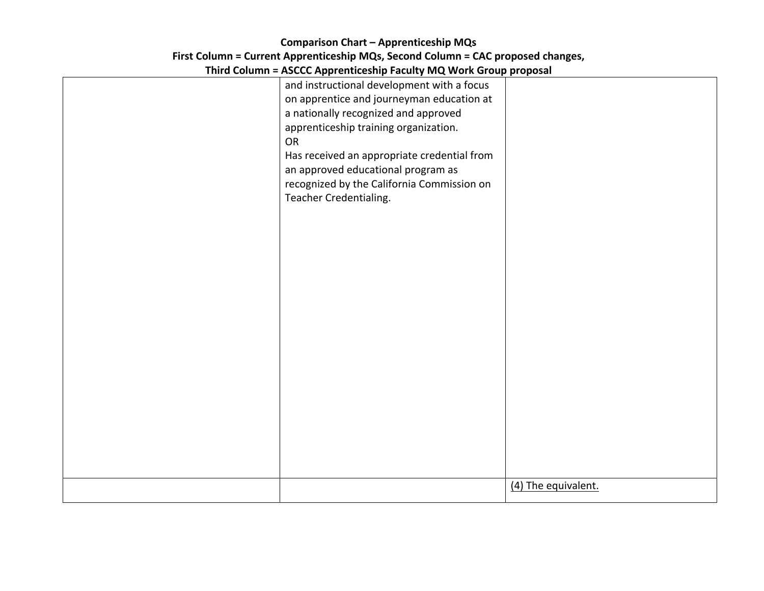### **Comparison Chart - Apprenticeship MQs** First Column = Current Apprenticeship MQs, Second Column = CAC proposed changes, **Third Column = ASCCC Apprenticeship Faculty MO Work Group proposal**

| Third Column – ASCCC Apprenticeship racuity ivid, work Group proposal |                     |  |  |
|-----------------------------------------------------------------------|---------------------|--|--|
| and instructional development with a focus                            |                     |  |  |
| on apprentice and journeyman education at                             |                     |  |  |
| a nationally recognized and approved                                  |                     |  |  |
| apprenticeship training organization.                                 |                     |  |  |
| <b>OR</b>                                                             |                     |  |  |
| Has received an appropriate credential from                           |                     |  |  |
| an approved educational program as                                    |                     |  |  |
| recognized by the California Commission on                            |                     |  |  |
| Teacher Credentialing.                                                |                     |  |  |
|                                                                       |                     |  |  |
|                                                                       |                     |  |  |
|                                                                       |                     |  |  |
|                                                                       |                     |  |  |
|                                                                       |                     |  |  |
|                                                                       |                     |  |  |
|                                                                       |                     |  |  |
|                                                                       |                     |  |  |
|                                                                       |                     |  |  |
|                                                                       |                     |  |  |
|                                                                       |                     |  |  |
|                                                                       |                     |  |  |
|                                                                       |                     |  |  |
|                                                                       |                     |  |  |
|                                                                       |                     |  |  |
|                                                                       |                     |  |  |
|                                                                       |                     |  |  |
|                                                                       |                     |  |  |
|                                                                       |                     |  |  |
|                                                                       |                     |  |  |
|                                                                       | (4) The equivalent. |  |  |
|                                                                       |                     |  |  |